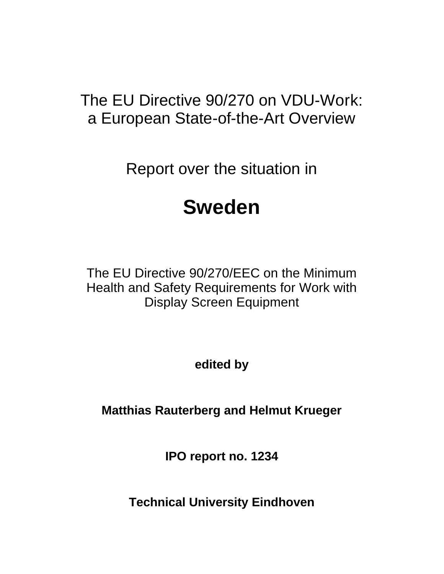# The EU Directive 90/270 on VDU-Work: a European State-of-the-Art Overview

Report over the situation in

# **Sweden**

The EU Directive 90/270/EEC on the Minimum Health and Safety Requirements for Work with Display Screen Equipment

**edited by**

**Matthias Rauterberg and Helmut Krueger**

**IPO report no. 1234**

**Technical University Eindhoven**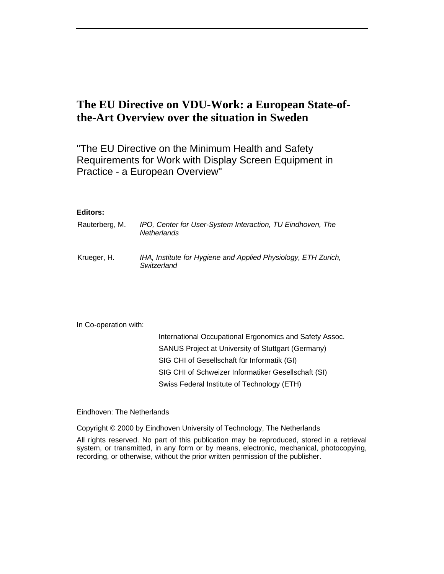## **The EU Directive on VDU-Work: a European State-ofthe-Art Overview over the situation in Sweden**

"The EU Directive on the Minimum Health and Safety Requirements for Work with Display Screen Equipment in Practice - a European Overview"

#### **Editors:**

| Rauterberg, M. | IPO, Center for User-System Interaction, TU Eindhoven, The<br>Netherlands     |
|----------------|-------------------------------------------------------------------------------|
| Krueger, H.    | IHA, Institute for Hygiene and Applied Physiology, ETH Zurich,<br>Switzerland |

In Co-operation with:

| International Occupational Ergonomics and Safety Assoc. |
|---------------------------------------------------------|
| SANUS Project at University of Stuttgart (Germany)      |
| SIG CHI of Gesellschaft für Informatik (GI)             |
| SIG CHI of Schweizer Informatiker Gesellschaft (SI)     |
| Swiss Federal Institute of Technology (ETH)             |

Eindhoven: The Netherlands

Copyright © 2000 by Eindhoven University of Technology, The Netherlands

All rights reserved. No part of this publication may be reproduced, stored in a retrieval system, or transmitted, in any form or by means, electronic, mechanical, photocopying, recording, or otherwise, without the prior written permission of the publisher.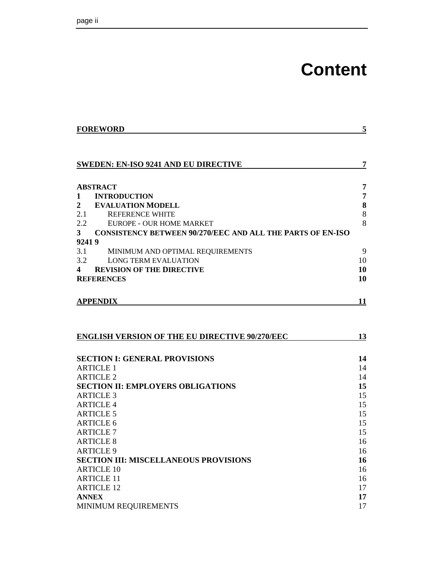# **Content**

|                         | <b>FOREWORD</b>                                                   |          |  |
|-------------------------|-------------------------------------------------------------------|----------|--|
|                         |                                                                   |          |  |
|                         | <b>SWEDEN: EN-ISO 9241 AND EU DIRECTIVE</b>                       | 7        |  |
|                         | <b>ABSTRACT</b>                                                   | 7        |  |
| 1                       | <b>INTRODUCTION</b>                                               | 7        |  |
| $\overline{2}$          | <b>EVALUATION MODELL</b>                                          | $\bf{8}$ |  |
| 2.1                     | <b>REFERENCE WHITE</b>                                            | $8\,$    |  |
| 2.2                     | EUROPE - OUR HOME MARKET                                          | 8        |  |
| 3 <sup>7</sup>          | <b>CONSISTENCY BETWEEN 90/270/EEC AND ALL THE PARTS OF EN-ISO</b> |          |  |
| 92419                   |                                                                   |          |  |
| 3.1                     | MINIMUM AND OPTIMAL REQUIREMENTS                                  | 9        |  |
| 3.2                     | <b>LONG TERM EVALUATION</b>                                       | 10       |  |
| $\overline{\mathbf{4}}$ | <b>REVISION OF THE DIRECTIVE</b>                                  | 10       |  |
|                         | <b>REFERENCES</b>                                                 | 10       |  |
|                         | <b>APPENDIX</b>                                                   | 11       |  |
|                         | <b>ENGLISH VERSION OF THE EU DIRECTIVE 90/270/EEC</b>             | 13       |  |
|                         | <b>SECTION I: GENERAL PROVISIONS</b>                              | 14       |  |
|                         | <b>ARTICLE 1</b>                                                  | 14       |  |
|                         | <b>ARTICLE 2</b>                                                  | 14       |  |
|                         | <b>SECTION II: EMPLOYERS OBLIGATIONS</b>                          | 15       |  |
|                         | <b>ARTICLE 3</b>                                                  | 15       |  |
|                         | <b>ARTICLE 4</b>                                                  | 15       |  |
|                         | <b>ARTICLE 5</b>                                                  | 15       |  |
|                         | <b>ARTICLE 6</b>                                                  | 15       |  |
|                         | <b>ARTICLE 7</b>                                                  | 15       |  |
|                         | <b>ARTICLE 8</b>                                                  | 16       |  |
|                         | <b>ARTICLE 9</b>                                                  | 16       |  |
|                         | <b>SECTION III: MISCELLANEOUS PROVISIONS</b>                      | 16       |  |
|                         | <b>ARTICLE 10</b>                                                 | 16       |  |
|                         | <b>ARTICLE 11</b>                                                 | 16       |  |
|                         | <b>ARTICLE 12</b>                                                 | 17       |  |
|                         | <b>ANNEX</b>                                                      | 17       |  |
|                         | MINIMUM REQUIREMENTS                                              | 17       |  |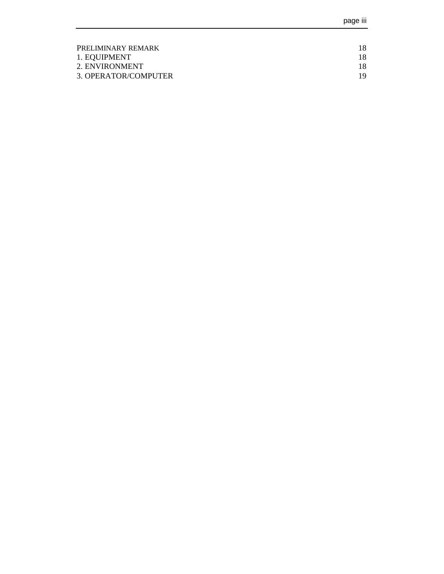| <b>PRELIMINARY REMARK</b> |    |
|---------------------------|----|
| 1. EQUIPMENT              |    |
| 2. ENVIRONMENT            |    |
| 3. OPERATOR/COMPUTER      | 19 |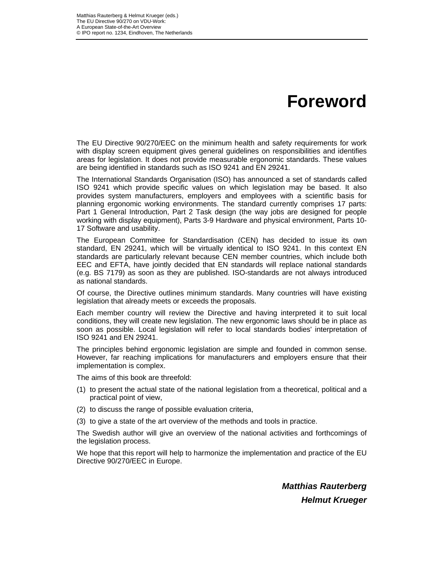# **Foreword**

The EU Directive 90/270/EEC on the minimum health and safety requirements for work with display screen equipment gives general guidelines on responsibilities and identifies areas for legislation. It does not provide measurable ergonomic standards. These values are being identified in standards such as ISO 9241 and EN 29241.

The International Standards Organisation (ISO) has announced a set of standards called ISO 9241 which provide specific values on which legislation may be based. It also provides system manufacturers, employers and employees with a scientific basis for planning ergonomic working environments. The standard currently comprises 17 parts: Part 1 General Introduction, Part 2 Task design (the way jobs are designed for people working with display equipment), Parts 3-9 Hardware and physical environment, Parts 10- 17 Software and usability.

The European Committee for Standardisation (CEN) has decided to issue its own standard, EN 29241, which will be virtually identical to ISO 9241. In this context EN standards are particularly relevant because CEN member countries, which include both EEC and EFTA, have jointly decided that EN standards will replace national standards (e.g. BS 7179) as soon as they are published. ISO-standards are not always introduced as national standards.

Of course, the Directive outlines minimum standards. Many countries will have existing legislation that already meets or exceeds the proposals.

Each member country will review the Directive and having interpreted it to suit local conditions, they will create new legislation. The new ergonomic laws should be in place as soon as possible. Local legislation will refer to local standards bodies' interpretation of ISO 9241 and EN 29241.

The principles behind ergonomic legislation are simple and founded in common sense. However, far reaching implications for manufacturers and employers ensure that their implementation is complex.

The aims of this book are threefold:

- (1) to present the actual state of the national legislation from a theoretical, political and a practical point of view,
- (2) to discuss the range of possible evaluation criteria,
- (3) to give a state of the art overview of the methods and tools in practice.

The Swedish author will give an overview of the national activities and forthcomings of the legislation process.

We hope that this report will help to harmonize the implementation and practice of the EU Directive 90/270/EEC in Europe.

> *Matthias Rauterberg Helmut Krueger*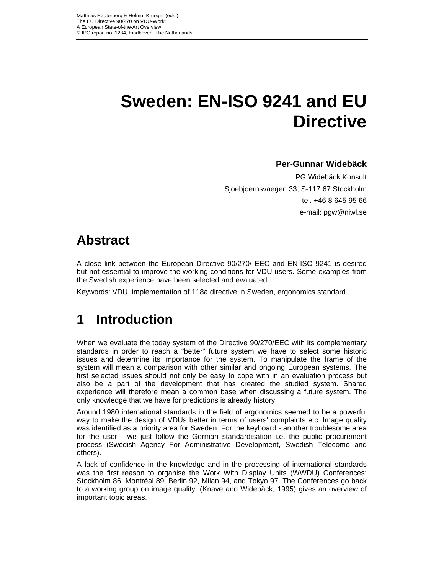# **Sweden: EN-ISO 9241 and EU Directive**

### **Per-Gunnar Widebäck**

PG Widebäck Konsult Sjoebjoernsvaegen 33, S-117 67 Stockholm tel. +46 8 645 95 66 e-mail: pgw@niwl.se

## **Abstract**

A close link between the European Directive 90/270/ EEC and EN-ISO 9241 is desired but not essential to improve the working conditions for VDU users. Some examples from the Swedish experience have been selected and evaluated.

Keywords: VDU, implementation of 118a directive in Sweden, ergonomics standard.

## **1 Introduction**

When we evaluate the today system of the Directive 90/270/EEC with its complementary standards in order to reach a "better" future system we have to select some historic issues and determine its importance for the system. To manipulate the frame of the system will mean a comparison with other similar and ongoing European systems. The first selected issues should not only be easy to cope with in an evaluation process but also be a part of the development that has created the studied system. Shared experience will therefore mean a common base when discussing a future system. The only knowledge that we have for predictions is already history.

Around 1980 international standards in the field of ergonomics seemed to be a powerful way to make the design of VDUs better in terms of users' complaints etc. Image quality was identified as a priority area for Sweden. For the keyboard - another troublesome area for the user - we just follow the German standardisation i.e. the public procurement process (Swedish Agency For Administrative Development, Swedish Telecome and others).

A lack of confidence in the knowledge and in the processing of international standards was the first reason to organise the Work With Display Units (WWDU) Conferences: Stockholm 86, Montréal 89, Berlin 92, Milan 94, and Tokyo 97. The Conferences go back to a working group on image quality. (Knave and Widebäck, 1995) gives an overview of important topic areas.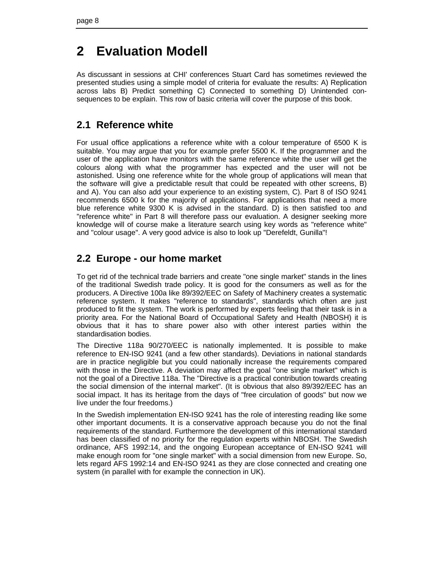## **2 Evaluation Modell**

As discussant in sessions at CHI' conferences Stuart Card has sometimes reviewed the presented studies using a simple model of criteria for evaluate the results: A) Replication across labs B) Predict something C) Connected to something D) Unintended consequences to be explain. This row of basic criteria will cover the purpose of this book.

## **2.1 Reference white**

For usual office applications a reference white with a colour temperature of 6500 K is suitable. You may argue that you for example prefer 5500 K. If the programmer and the user of the application have monitors with the same reference white the user will get the colours along with what the programmer has expected and the user will not be astonished. Using one reference white for the whole group of applications will mean that the software will give a predictable result that could be repeated with other screens, B) and A). You can also add your experience to an existing system, C). Part 8 of ISO 9241 recommends 6500 k for the majority of applications. For applications that need a more blue reference white 9300 K is advised in the standard. D) is then satisfied too and "reference white" in Part 8 will therefore pass our evaluation. A designer seeking more knowledge will of course make a literature search using key words as "reference white" and "colour usage". A very good advice is also to look up "Derefeldt, Gunilla"!

### **2.2 Europe - our home market**

To get rid of the technical trade barriers and create "one single market" stands in the lines of the traditional Swedish trade policy. It is good for the consumers as well as for the producers. A Directive 100a like 89/392/EEC on Safety of Machinery creates a systematic reference system. It makes "reference to standards", standards which often are just produced to fit the system. The work is performed by experts feeling that their task is in a priority area. For the National Board of Occupational Safety and Health (NBOSH) it is obvious that it has to share power also with other interest parties within the standardisation bodies.

The Directive 118a 90/270/EEC is nationally implemented. It is possible to make reference to EN-ISO 9241 (and a few other standards). Deviations in national standards are in practice negligible but you could nationally increase the requirements compared with those in the Directive. A deviation may affect the goal "one single market" which is not the goal of a Directive 118a. The "Directive is a practical contribution towards creating the social dimension of the internal market". (It is obvious that also 89/392/EEC has an social impact. It has its heritage from the days of "free circulation of goods" but now we live under the four freedoms.)

In the Swedish implementation EN-ISO 9241 has the role of interesting reading like some other important documents. It is a conservative approach because you do not the final requirements of the standard. Furthermore the development of this international standard has been classified of no priority for the regulation experts within NBOSH. The Swedish ordinance, AFS 1992:14, and the ongoing European acceptance of EN-ISO 9241 will make enough room for "one single market" with a social dimension from new Europe. So, lets regard AFS 1992:14 and EN-ISO 9241 as they are close connected and creating one system (in parallel with for example the connection in UK).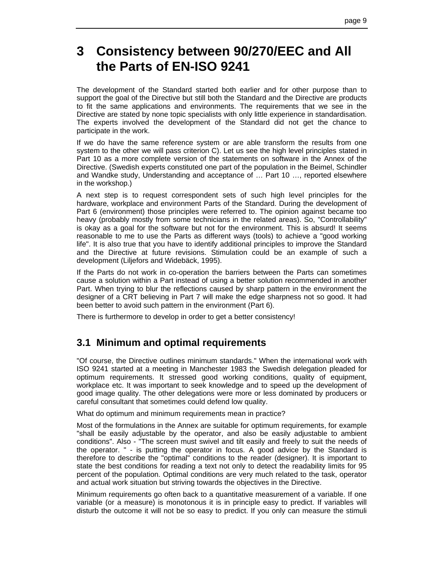## **3 Consistency between 90/270/EEC and All the Parts of EN-ISO 9241**

The development of the Standard started both earlier and for other purpose than to support the goal of the Directive but still both the Standard and the Directive are products to fit the same applications and environments. The requirements that we see in the Directive are stated by none topic specialists with only little experience in standardisation. The experts involved the development of the Standard did not get the chance to participate in the work.

If we do have the same reference system or are able transform the results from one system to the other we will pass criterion C). Let us see the high level principles stated in Part 10 as a more complete version of the statements on software in the Annex of the Directive. (Swedish experts constituted one part of the population in the Beimel, Schindler and Wandke study, Understanding and acceptance of … Part 10 …, reported elsewhere in the workshop.)

A next step is to request correspondent sets of such high level principles for the hardware, workplace and environment Parts of the Standard. During the development of Part 6 (environment) those principles were referred to. The opinion against became too heavy (probably mostly from some technicians in the related areas). So, "Controllability" is okay as a goal for the software but not for the environment. This is absurd! It seems reasonable to me to use the Parts as different ways (tools) to achieve a "good working life". It is also true that you have to identify additional principles to improve the Standard and the Directive at future revisions. Stimulation could be an example of such a development (Liljefors and Widebäck, 1995).

If the Parts do not work in co-operation the barriers between the Parts can sometimes cause a solution within a Part instead of using a better solution recommended in another Part. When trying to blur the reflections caused by sharp pattern in the environment the designer of a CRT believing in Part 7 will make the edge sharpness not so good. It had been better to avoid such pattern in the environment (Part 6).

There is furthermore to develop in order to get a better consistency!

### **3.1 Minimum and optimal requirements**

"Of course, the Directive outlines minimum standards." When the international work with ISO 9241 started at a meeting in Manchester 1983 the Swedish delegation pleaded for optimum requirements. It stressed good working conditions, quality of equipment, workplace etc. It was important to seek knowledge and to speed up the development of good image quality. The other delegations were more or less dominated by producers or careful consultant that sometimes could defend low quality.

What do optimum and minimum requirements mean in practice?

Most of the formulations in the Annex are suitable for optimum requirements, for example "shall be easily adjustable by the operator, and also be easily adjustable to ambient conditions". Also - "The screen must swivel and tilt easily and freely to suit the needs of the operator. " - is putting the operator in focus. A good advice by the Standard is therefore to describe the "optimal" conditions to the reader (designer). It is important to state the best conditions for reading a text not only to detect the readability limits for 95 percent of the population. Optimal conditions are very much related to the task, operator and actual work situation but striving towards the objectives in the Directive.

Minimum requirements go often back to a quantitative measurement of a variable. If one variable (or a measure) is monotonous it is in principle easy to predict. If variables will disturb the outcome it will not be so easy to predict. If you only can measure the stimuli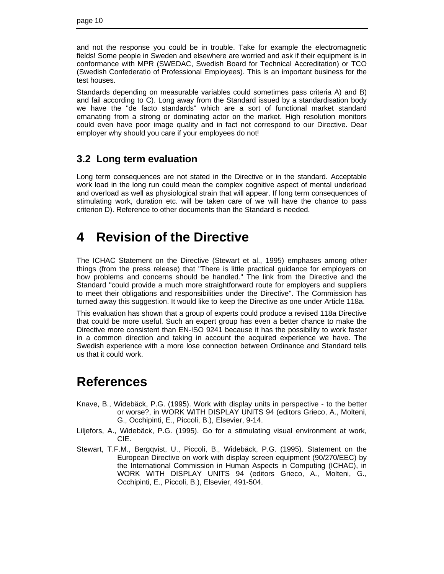and not the response you could be in trouble. Take for example the electromagnetic fields! Some people in Sweden and elsewhere are worried and ask if their equipment is in conformance with MPR (SWEDAC, Swedish Board for Technical Accreditation) or TCO (Swedish Confederatio of Professional Employees). This is an important business for the test houses.

Standards depending on measurable variables could sometimes pass criteria A) and B) and fail according to C). Long away from the Standard issued by a standardisation body we have the "de facto standards" which are a sort of functional market standard emanating from a strong or dominating actor on the market. High resolution monitors could even have poor image quality and in fact not correspond to our Directive. Dear employer why should you care if your employees do not!

## **3.2 Long term evaluation**

Long term consequences are not stated in the Directive or in the standard. Acceptable work load in the long run could mean the complex cognitive aspect of mental underload and overload as well as physiological strain that will appear. If long term consequences of stimulating work, duration etc. will be taken care of we will have the chance to pass criterion D). Reference to other documents than the Standard is needed.

## **4 Revision of the Directive**

The ICHAC Statement on the Directive (Stewart et al., 1995) emphases among other things (from the press release) that "There is little practical guidance for employers on how problems and concerns should be handled." The link from the Directive and the Standard "could provide a much more straightforward route for employers and suppliers to meet their obligations and responsibilities under the Directive". The Commission has turned away this suggestion. It would like to keep the Directive as one under Article 118a.

This evaluation has shown that a group of experts could produce a revised 118a Directive that could be more useful. Such an expert group has even a better chance to make the Directive more consistent than EN-ISO 9241 because it has the possibility to work faster in a common direction and taking in account the acquired experience we have. The Swedish experience with a more lose connection between Ordinance and Standard tells us that it could work.

## **References**

- Knave, B., Widebäck, P.G. (1995). Work with display units in perspective to the better or worse?, in WORK WITH DISPLAY UNITS 94 (editors Grieco, A., Molteni, G., Occhipinti, E., Piccoli, B.), Elsevier, 9-14.
- Liljefors, A., Widebäck, P.G. (1995). Go for a stimulating visual environment at work, CIE.
- Stewart, T.F.M., Bergqvist, U., Piccoli, B., Widebäck, P.G. (1995). Statement on the European Directive on work with display screen equipment (90/270/EEC) by the International Commission in Human Aspects in Computing (ICHAC), in WORK WITH DISPLAY UNITS 94 (editors Grieco, A., Molteni, G., Occhipinti, E., Piccoli, B.), Elsevier, 491-504.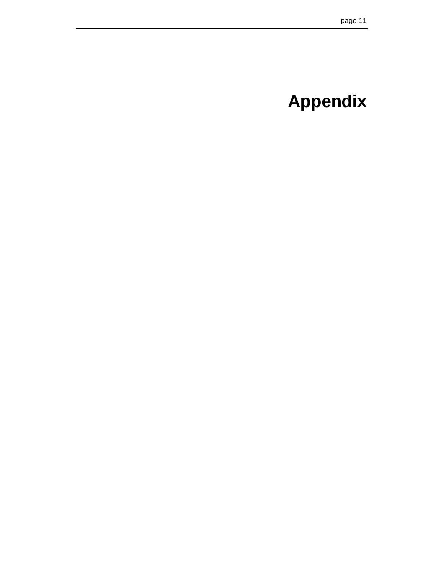# **Appendix**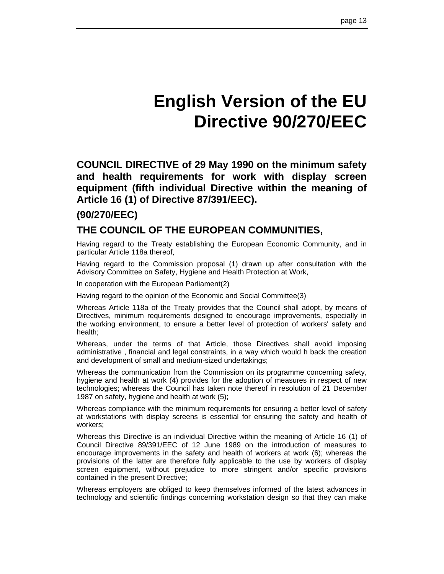# **English Version of the EU Directive 90/270/EEC**

**COUNCIL DIRECTIVE of 29 May 1990 on the minimum safety and health requirements for work with display screen equipment (fifth individual Directive within the meaning of Article 16 (1) of Directive 87/391/EEC).**

### **(90/270/EEC)**

### **THE COUNCIL OF THE EUROPEAN COMMUNITIES,**

Having regard to the Treaty establishing the European Economic Community, and in particular Article 118a thereof,

Having regard to the Commission proposal (1) drawn up after consultation with the Advisory Committee on Safety, Hygiene and Health Protection at Work,

In cooperation with the European Parliament(2)

Having regard to the opinion of the Economic and Social Committee(3)

Whereas Article 118a of the Treaty provides that the Council shall adopt, by means of Directives, minimum requirements designed to encourage improvements, especially in the working environment, to ensure a better level of protection of workers' safety and health;

Whereas, under the terms of that Article, those Directives shall avoid imposing administrative , financial and legal constraints, in a way which would h back the creation and development of small and medium-sized undertakings;

Whereas the communication from the Commission on its programme concerning safety, hygiene and health at work (4) provides for the adoption of measures in respect of new technologies; whereas the Council has taken note thereof in resolution of 21 December 1987 on safety, hygiene and health at work (5);

Whereas compliance with the minimum requirements for ensuring a better level of safety at workstations with display screens is essential for ensuring the safety and health of workers;

Whereas this Directive is an individual Directive within the meaning of Article 16 (1) of Council Directive 89/391/EEC of 12 June 1989 on the introduction of measures to encourage improvements in the safety and health of workers at work (6); whereas the provisions of the latter are therefore fully applicable to the use by workers of display screen equipment, without prejudice to more stringent and/or specific provisions contained in the present Directive;

Whereas employers are obliged to keep themselves informed of the latest advances in technology and scientific findings concerning workstation design so that they can make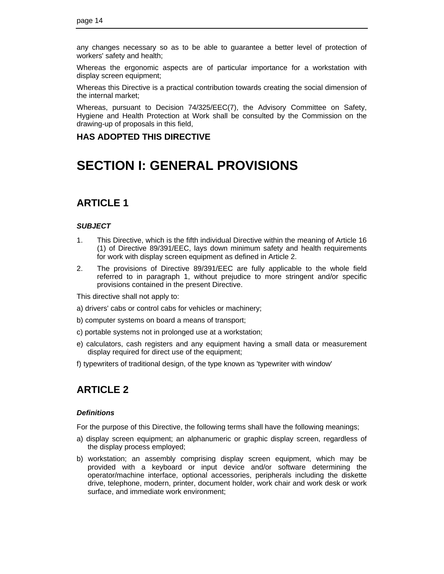any changes necessary so as to be able to guarantee a better level of protection of workers' safety and health;

Whereas the ergonomic aspects are of particular importance for a workstation with display screen equipment;

Whereas this Directive is a practical contribution towards creating the social dimension of the internal market;

Whereas, pursuant to Decision 74/325/EEC(7), the Advisory Committee on Safety, Hygiene and Health Protection at Work shall be consulted by the Commission on the drawing-up of proposals in this field,

#### **HAS ADOPTED THIS DIRECTIVE**

## **SECTION I: GENERAL PROVISIONS**

## **ARTICLE 1**

#### *SUBJECT*

- 1. This Directive, which is the fifth individual Directive within the meaning of Article 16 (1) of Directive 89/391/EEC, lays down minimum safety and health requirements for work with display screen equipment as defined in Article 2.
- 2. The provisions of Directive 89/391/EEC are fully applicable to the whole field referred to in paragraph 1, without prejudice to more stringent and/or specific provisions contained in the present Directive.

This directive shall not apply to:

- a) drivers' cabs or control cabs for vehicles or machinery;
- b) computer systems on board a means of transport;
- c) portable systems not in prolonged use at a workstation;
- e) calculators, cash registers and any equipment having a small data or measurement display required for direct use of the equipment;
- f) typewriters of traditional design, of the type known as 'typewriter with window'

## **ARTICLE 2**

#### *Definitions*

For the purpose of this Directive, the following terms shall have the following meanings;

- a) display screen equipment; an alphanumeric or graphic display screen, regardless of the display process employed;
- b) workstation; an assembly comprising display screen equipment, which may be provided with a keyboard or input device and/or software determining the operator/machine interface, optional accessories, peripherals including the diskette drive, telephone, modern, printer, document holder, work chair and work desk or work surface, and immediate work environment;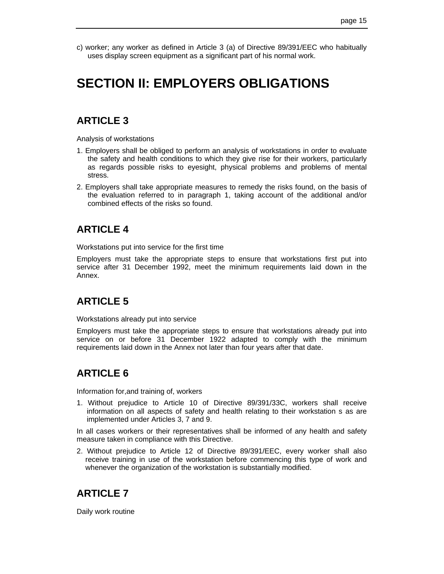c) worker; any worker as defined in Article 3 (a) of Directive 89/391/EEC who habitually uses display screen equipment as a significant part of his normal work.

## **SECTION II: EMPLOYERS OBLIGATIONS**

## **ARTICLE 3**

Analysis of workstations

- 1. Employers shall be obliged to perform an analysis of workstations in order to evaluate the safety and health conditions to which they give rise for their workers, particularly as regards possible risks to eyesight, physical problems and problems of mental stress.
- 2. Employers shall take appropriate measures to remedy the risks found, on the basis of the evaluation referred to in paragraph 1, taking account of the additional and/or combined effects of the risks so found.

### **ARTICLE 4**

Workstations put into service for the first time

Employers must take the appropriate steps to ensure that workstations first put into service after 31 December 1992, meet the minimum requirements laid down in the Annex.

## **ARTICLE 5**

Workstations already put into service

Employers must take the appropriate steps to ensure that workstations already put into service on or before 31 December 1922 adapted to comply with the minimum requirements laid down in the Annex not later than four years after that date.

## **ARTICLE 6**

Information for,and training of, workers

1. Without prejudice to Article 10 of Directive 89/391/33C, workers shall receive information on all aspects of safety and health relating to their workstation s as are implemented under Articles 3, 7 and 9.

In all cases workers or their representatives shall be informed of any health and safety measure taken in compliance with this Directive.

2. Without prejudice to Article 12 of Directive 89/391/EEC, every worker shall also receive training in use of the workstation before commencing this type of work and whenever the organization of the workstation is substantially modified.

## **ARTICLE 7**

Daily work routine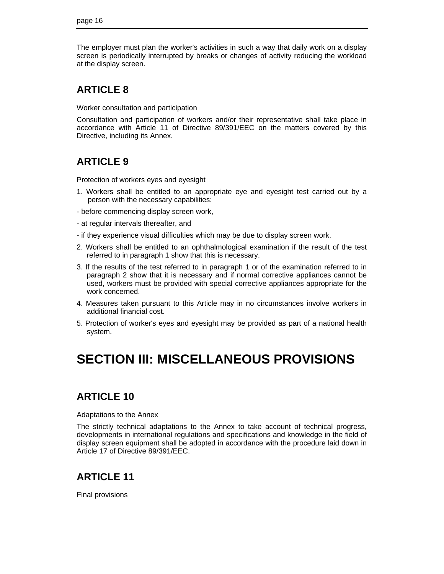The employer must plan the worker's activities in such a way that daily work on a display screen is periodically interrupted by breaks or changes of activity reducing the workload at the display screen.

## **ARTICLE 8**

Worker consultation and participation

Consultation and participation of workers and/or their representative shall take place in accordance with Article 11 of Directive 89/391/EEC on the matters covered by this Directive, including its Annex.

## **ARTICLE 9**

Protection of workers eyes and eyesight

- 1. Workers shall be entitled to an appropriate eye and eyesight test carried out by a person with the necessary capabilities:
- before commencing display screen work,
- at regular intervals thereafter, and
- if they experience visual difficulties which may be due to display screen work.
- 2. Workers shall be entitled to an ophthalmological examination if the result of the test referred to in paragraph 1 show that this is necessary.
- 3. If the results of the test referred to in paragraph 1 or of the examination referred to in paragraph 2 show that it is necessary and if normal corrective appliances cannot be used, workers must be provided with special corrective appliances appropriate for the work concerned.
- 4. Measures taken pursuant to this Article may in no circumstances involve workers in additional financial cost.
- 5. Protection of worker's eyes and eyesight may be provided as part of a national health system.

## **SECTION III: MISCELLANEOUS PROVISIONS**

## **ARTICLE 10**

Adaptations to the Annex

The strictly technical adaptations to the Annex to take account of technical progress, developments in international regulations and specifications and knowledge in the field of display screen equipment shall be adopted in accordance with the procedure laid down in Article 17 of Directive 89/391/EEC.

## **ARTICLE 11**

Final provisions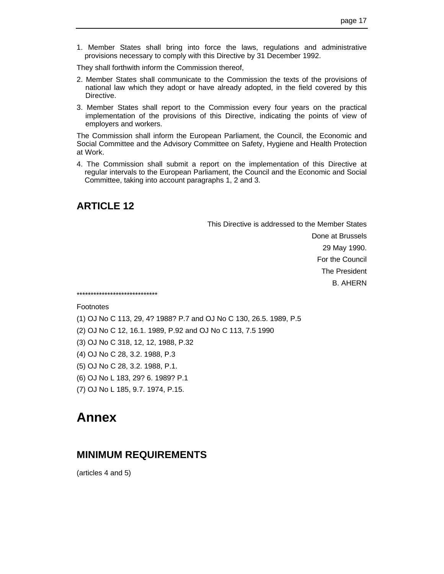1. Member States shall bring into force the laws, regulations and administrative provisions necessary to comply with this Directive by 31 December 1992.

They shall forthwith inform the Commission thereof,

- 2. Member States shall communicate to the Commission the texts of the provisions of national law which they adopt or have already adopted, in the field covered by this Directive.
- 3. Member States shall report to the Commission every four years on the practical implementation of the provisions of this Directive, indicating the points of view of employers and workers.

The Commission shall inform the European Parliament, the Council, the Economic and Social Committee and the Advisory Committee on Safety, Hygiene and Health Protection at Work.

4. The Commission shall submit a report on the implementation of this Directive at regular intervals to the European Parliament, the Council and the Economic and Social Committee, taking into account paragraphs 1, 2 and 3.

### **ARTICLE 12**

This Directive is addressed to the Member States Done at Brussels 29 May 1990. For the Council The President B. AHERN

\*\*\*\*\*\*\*\*\*\*\*\*\*\*\*\*\*\*\*\*\*\*\*\*\*\*\*\*\*

Footnotes

(1) OJ No C 113, 29, 4? 1988? P.7 and OJ No C 130, 26.5. 1989, P.5

(2) OJ No C 12, 16.1. 1989, P.92 and OJ No C 113, 7.5 1990

(3) OJ No C 318, 12, 12, 1988, P.32

(4) OJ No C 28, 3.2. 1988, P.3

(5) OJ No C 28, 3.2. 1988, P.1.

(6) OJ No L 183, 29? 6. 1989? P.1

(7) OJ No L 185, 9.7. 1974, P.15.

## **Annex**

#### **MINIMUM REQUIREMENTS**

(articles 4 and 5)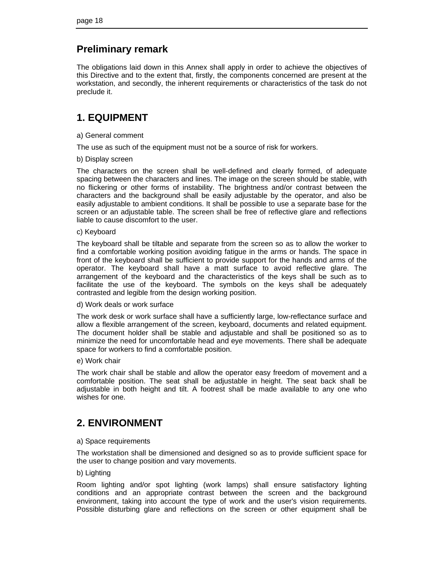## **Preliminary remark**

The obligations laid down in this Annex shall apply in order to achieve the objectives of this Directive and to the extent that, firstly, the components concerned are present at the workstation, and secondly, the inherent requirements or characteristics of the task do not preclude it.

## **1. EQUIPMENT**

a) General comment

The use as such of the equipment must not be a source of risk for workers.

b) Display screen

The characters on the screen shall be well-defined and clearly formed, of adequate spacing between the characters and lines. The image on the screen should be stable, with no flickering or other forms of instability. The brightness and/or contrast between the characters and the background shall be easily adjustable by the operator, and also be easily adjustable to ambient conditions. It shall be possible to use a separate base for the screen or an adjustable table. The screen shall be free of reflective glare and reflections liable to cause discomfort to the user.

#### c) Keyboard

The keyboard shall be tiltable and separate from the screen so as to allow the worker to find a comfortable working position avoiding fatigue in the arms or hands. The space in front of the keyboard shall be sufficient to provide support for the hands and arms of the operator. The keyboard shall have a matt surface to avoid reflective glare. The arrangement of the keyboard and the characteristics of the keys shall be such as to facilitate the use of the keyboard. The symbols on the keys shall be adequately contrasted and legible from the design working position.

#### d) Work deals or work surface

The work desk or work surface shall have a sufficiently large, low-reflectance surface and allow a flexible arrangement of the screen, keyboard, documents and related equipment. The document holder shall be stable and adjustable and shall be positioned so as to minimize the need for uncomfortable head and eye movements. There shall be adequate space for workers to find a comfortable position.

#### e) Work chair

The work chair shall be stable and allow the operator easy freedom of movement and a comfortable position. The seat shall be adjustable in height. The seat back shall be adjustable in both height and tilt. A footrest shall be made available to any one who wishes for one.

## **2. ENVIRONMENT**

#### a) Space requirements

The workstation shall be dimensioned and designed so as to provide sufficient space for the user to change position and vary movements.

#### b) Lighting

Room lighting and/or spot lighting (work lamps) shall ensure satisfactory lighting conditions and an appropriate contrast between the screen and the background environment, taking into account the type of work and the user's vision requirements. Possible disturbing glare and reflections on the screen or other equipment shall be